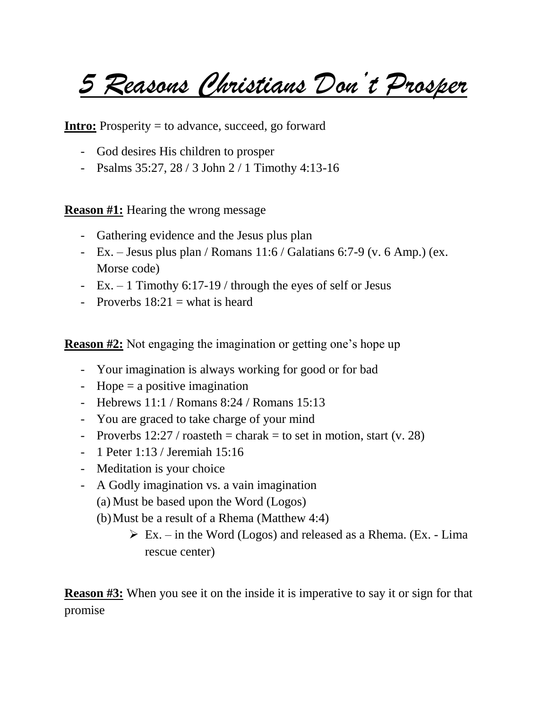*5 Reasons Christians Don't Prosper*

**Intro:** Prosperity = to advance, succeed, go forward

- God desires His children to prosper
- Psalms 35:27, 28 / 3 John 2 / 1 Timothy 4:13-16

**Reason #1:** Hearing the wrong message

- Gathering evidence and the Jesus plus plan
- Ex. Jesus plus plan / Romans  $11:6$  / Galatians 6:7-9 (v. 6 Amp.) (ex. Morse code)
- Ex. 1 Timothy 6:17-19 / through the eyes of self or Jesus
- Proverbs  $18:21$  = what is heard

**Reason #2:** Not engaging the imagination or getting one's hope up

- Your imagination is always working for good or for bad
- Hope  $=$  a positive imagination
- Hebrews 11:1 / Romans 8:24 / Romans 15:13
- You are graced to take charge of your mind
- Proverbs  $12:27 / \text{roasteth} = \text{charak} = \text{to set in motion, start (v. 28)}$
- 1 Peter 1:13 / Jeremiah 15:16
- Meditation is your choice
- A Godly imagination vs. a vain imagination
	- (a) Must be based upon the Word (Logos)
	- (b)Must be a result of a Rhema (Matthew 4:4)
		- $\triangleright$  Ex. in the Word (Logos) and released as a Rhema. (Ex. Lima rescue center)

**Reason #3:** When you see it on the inside it is imperative to say it or sign for that promise